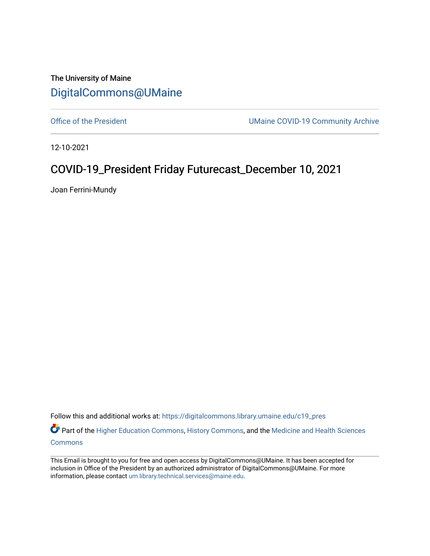The University of Maine [DigitalCommons@UMaine](https://digitalcommons.library.umaine.edu/)

[Office of the President](https://digitalcommons.library.umaine.edu/c19_pres) **UMaine COVID-19 Community Archive** 

12-10-2021

## COVID-19\_President Friday Futurecast\_December 10, 2021

Joan Ferrini-Mundy

Follow this and additional works at: [https://digitalcommons.library.umaine.edu/c19\\_pres](https://digitalcommons.library.umaine.edu/c19_pres?utm_source=digitalcommons.library.umaine.edu%2Fc19_pres%2F121&utm_medium=PDF&utm_campaign=PDFCoverPages) 

Part of the [Higher Education Commons,](http://network.bepress.com/hgg/discipline/1245?utm_source=digitalcommons.library.umaine.edu%2Fc19_pres%2F121&utm_medium=PDF&utm_campaign=PDFCoverPages) [History Commons,](http://network.bepress.com/hgg/discipline/489?utm_source=digitalcommons.library.umaine.edu%2Fc19_pres%2F121&utm_medium=PDF&utm_campaign=PDFCoverPages) and the Medicine and Health Sciences [Commons](http://network.bepress.com/hgg/discipline/648?utm_source=digitalcommons.library.umaine.edu%2Fc19_pres%2F121&utm_medium=PDF&utm_campaign=PDFCoverPages)

This Email is brought to you for free and open access by DigitalCommons@UMaine. It has been accepted for inclusion in Office of the President by an authorized administrator of DigitalCommons@UMaine. For more information, please contact [um.library.technical.services@maine.edu](mailto:um.library.technical.services@maine.edu).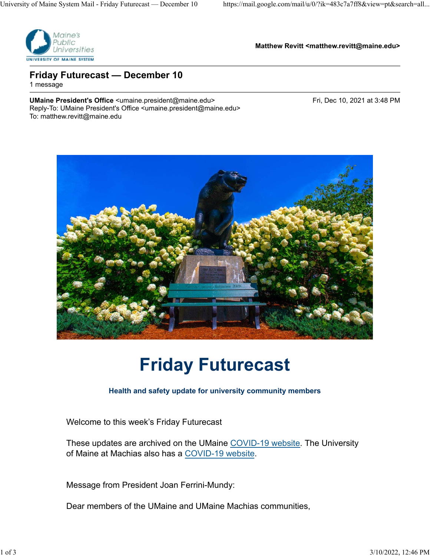

**Matthew Revitt <matthew.revitt@maine.edu>**

### **Friday Futurecast — December 10** 1 message

UMaine President's Office <umaine.president@maine.edu> Fri, Dec 10, 2021 at 3:48 PM Reply-To: UMaine President's Office <umaine.president@maine.edu> To: matthew.revitt@maine.edu



# **Friday Futurecast**

### **Health and safety update for university community members**

Welcome to this week's Friday Futurecast

These updates are archived on the UMaine COVID-19 website. The University of Maine at Machias also has a COVID-19 website.

Message from President Joan Ferrini-Mundy:

Dear members of the UMaine and UMaine Machias communities,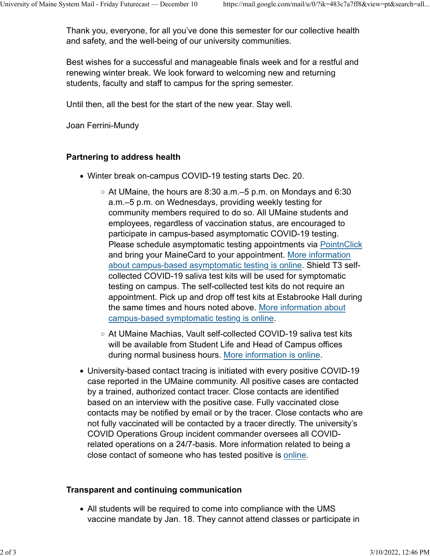Thank you, everyone, for all you've done this semester for our collective health and safety, and the well-being of our university communities.

Best wishes for a successful and manageable finals week and for a restful and renewing winter break. We look forward to welcoming new and returning students, faculty and staff to campus for the spring semester.

Until then, all the best for the start of the new year. Stay well.

Joan Ferrini-Mundy

#### **Partnering to address health**

- Winter break on-campus COVID-19 testing starts Dec. 20.
	- $\,\circ\,$  At UMaine, the hours are 8:30 a.m.–5 p.m. on Mondays and 6:30  $\,$ a.m.–5 p.m. on Wednesdays, providing weekly testing for community members required to do so. All UMaine students and employees, regardless of vaccination status, are encouraged to participate in campus-based asymptomatic COVID-19 testing. Please schedule asymptomatic testing appointments via PointnClick and bring your MaineCard to your appointment. More information about campus-based asymptomatic testing is online. Shield T3 selfcollected COVID-19 saliva test kits will be used for symptomatic testing on campus. The self-collected test kits do not require an appointment. Pick up and drop off test kits at Estabrooke Hall during the same times and hours noted above. More information about campus-based symptomatic testing is online.
	- At UMaine Machias, Vault self-collected COVID-19 saliva test kits will be available from Student Life and Head of Campus offices during normal business hours. More information is online.
- University-based contact tracing is initiated with every positive COVID-19 case reported in the UMaine community. All positive cases are contacted by a trained, authorized contact tracer. Close contacts are identified based on an interview with the positive case. Fully vaccinated close contacts may be notified by email or by the tracer. Close contacts who are not fully vaccinated will be contacted by a tracer directly. The university's COVID Operations Group incident commander oversees all COVIDrelated operations on a 24/7-basis. More information related to being a close contact of someone who has tested positive is online.

### **Transparent and continuing communication**

All students will be required to come into compliance with the UMS vaccine mandate by Jan. 18. They cannot attend classes or participate in